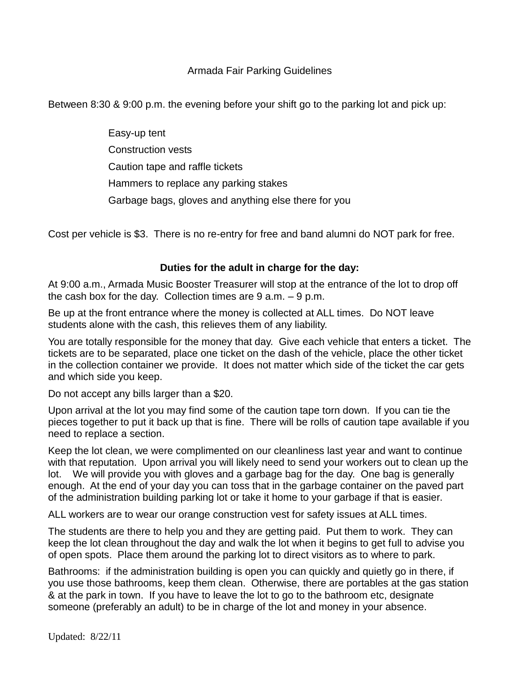## Armada Fair Parking Guidelines

Between 8:30 & 9:00 p.m. the evening before your shift go to the parking lot and pick up:

Easy-up tent Construction vests Caution tape and raffle tickets Hammers to replace any parking stakes Garbage bags, gloves and anything else there for you

Cost per vehicle is \$3. There is no re-entry for free and band alumni do NOT park for free.

## **Duties for the adult in charge for the day:**

At 9:00 a.m., Armada Music Booster Treasurer will stop at the entrance of the lot to drop off the cash box for the day. Collection times are 9 a.m. – 9 p.m.

Be up at the front entrance where the money is collected at ALL times. Do NOT leave students alone with the cash, this relieves them of any liability.

You are totally responsible for the money that day. Give each vehicle that enters a ticket. The tickets are to be separated, place one ticket on the dash of the vehicle, place the other ticket in the collection container we provide. It does not matter which side of the ticket the car gets and which side you keep.

Do not accept any bills larger than a \$20.

Upon arrival at the lot you may find some of the caution tape torn down. If you can tie the pieces together to put it back up that is fine. There will be rolls of caution tape available if you need to replace a section.

Keep the lot clean, we were complimented on our cleanliness last year and want to continue with that reputation. Upon arrival you will likely need to send your workers out to clean up the lot. We will provide you with gloves and a garbage bag for the day. One bag is generally enough. At the end of your day you can toss that in the garbage container on the paved part of the administration building parking lot or take it home to your garbage if that is easier.

ALL workers are to wear our orange construction vest for safety issues at ALL times.

The students are there to help you and they are getting paid. Put them to work. They can keep the lot clean throughout the day and walk the lot when it begins to get full to advise you of open spots. Place them around the parking lot to direct visitors as to where to park.

Bathrooms: if the administration building is open you can quickly and quietly go in there, if you use those bathrooms, keep them clean. Otherwise, there are portables at the gas station & at the park in town. If you have to leave the lot to go to the bathroom etc, designate someone (preferably an adult) to be in charge of the lot and money in your absence.